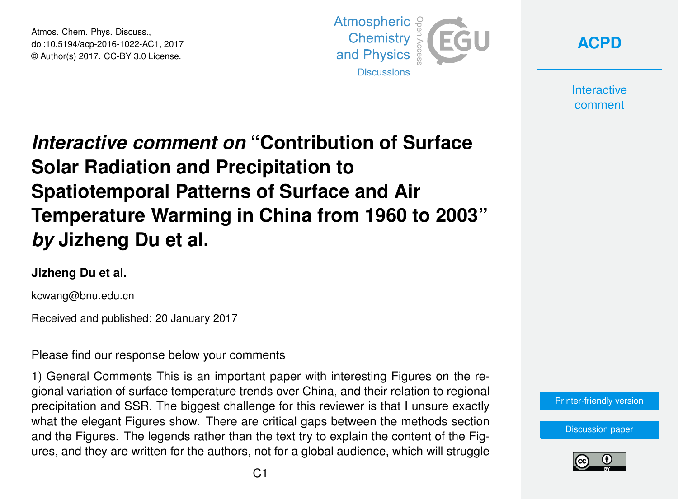Atmos. Chem. Phys. Discuss., doi:10.5194/acp-2016-1022-AC1, 2017 © Author(s) 2017. CC-BY 3.0 License.



**[ACPD](http://www.atmos-chem-phys-discuss.net/)**

**Interactive** comment

# *Interactive comment on* **"Contribution of Surface Solar Radiation and Precipitation to Spatiotemporal Patterns of Surface and Air Temperature Warming in China from 1960 to 2003"** *by* **Jizheng Du et al.**

#### **Jizheng Du et al.**

kcwang@bnu.edu.cn

Received and published: 20 January 2017

Please find our response below your comments

1) General Comments This is an important paper with interesting Figures on the regional variation of surface temperature trends over China, and their relation to regional precipitation and SSR. The biggest challenge for this reviewer is that I unsure exactly what the elegant Figures show. There are critical gaps between the methods section and the Figures. The legends rather than the text try to explain the content of the Figures, and they are written for the authors, not for a global audience, which will struggle



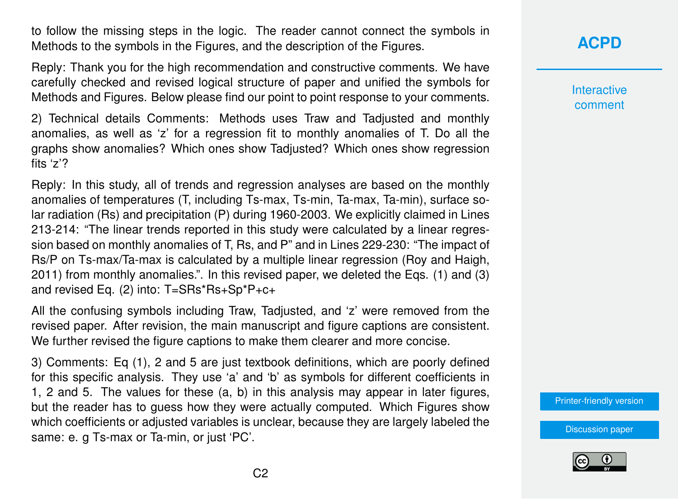to follow the missing steps in the logic. The reader cannot connect the symbols in Methods to the symbols in the Figures, and the description of the Figures.

Reply: Thank you for the high recommendation and constructive comments. We have carefully checked and revised logical structure of paper and unified the symbols for Methods and Figures. Below please find our point to point response to your comments.

2) Technical details Comments: Methods uses Traw and Tadjusted and monthly anomalies, as well as 'z' for a regression fit to monthly anomalies of T. Do all the graphs show anomalies? Which ones show Tadjusted? Which ones show regression fits 'z'?

Reply: In this study, all of trends and regression analyses are based on the monthly anomalies of temperatures (T, including Ts-max, Ts-min, Ta-max, Ta-min), surface solar radiation (Rs) and precipitation (P) during 1960-2003. We explicitly claimed in Lines 213-214: "The linear trends reported in this study were calculated by a linear regression based on monthly anomalies of T, Rs, and P" and in Lines 229-230: "The impact of Rs/P on Ts-max/Ta-max is calculated by a multiple linear regression (Roy and Haigh, 2011) from monthly anomalies.". In this revised paper, we deleted the Eqs. (1) and (3) and revised Eq. (2) into: T=SRs\*Rs+Sp\*P+c+

All the confusing symbols including Traw, Tadjusted, and 'z' were removed from the revised paper. After revision, the main manuscript and figure captions are consistent. We further revised the figure captions to make them clearer and more concise.

3) Comments: Eq (1), 2 and 5 are just textbook definitions, which are poorly defined for this specific analysis. They use 'a' and 'b' as symbols for different coefficients in 1, 2 and 5. The values for these (a, b) in this analysis may appear in later figures, but the reader has to guess how they were actually computed. Which Figures show which coefficients or adjusted variables is unclear, because they are largely labeled the same: e. g Ts-max or Ta-min, or just 'PC'.

## **[ACPD](http://www.atmos-chem-phys-discuss.net/)**

Interactive comment

[Printer-friendly version](http://www.atmos-chem-phys-discuss.net/acp-2016-1022/acp-2016-1022-AC1-print.pdf)

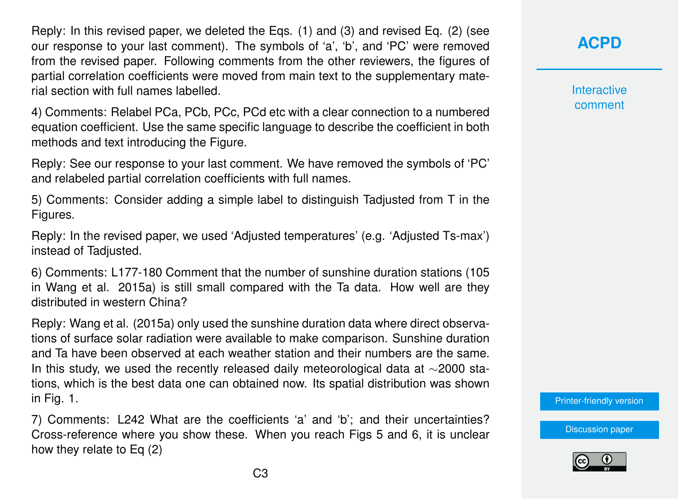Reply: In this revised paper, we deleted the Eqs. (1) and (3) and revised Eq. (2) (see our response to your last comment). The symbols of 'a', 'b', and 'PC' were removed from the revised paper. Following comments from the other reviewers, the figures of partial correlation coefficients were moved from main text to the supplementary material section with full names labelled.

4) Comments: Relabel PCa, PCb, PCc, PCd etc with a clear connection to a numbered equation coefficient. Use the same specific language to describe the coefficient in both methods and text introducing the Figure.

Reply: See our response to your last comment. We have removed the symbols of 'PC' and relabeled partial correlation coefficients with full names.

5) Comments: Consider adding a simple label to distinguish Tadjusted from T in the Figures.

Reply: In the revised paper, we used 'Adjusted temperatures' (e.g. 'Adjusted Ts-max') instead of Tadjusted.

6) Comments: L177-180 Comment that the number of sunshine duration stations (105 in Wang et al. 2015a) is still small compared with the Ta data. How well are they distributed in western China?

Reply: Wang et al. (2015a) only used the sunshine duration data where direct observations of surface solar radiation were available to make comparison. Sunshine duration and Ta have been observed at each weather station and their numbers are the same. In this study, we used the recently released daily meteorological data at ∼2000 stations, which is the best data one can obtained now. Its spatial distribution was shown in Fig. 1.

7) Comments: L242 What are the coefficients 'a' and 'b'; and their uncertainties? Cross-reference where you show these. When you reach Figs 5 and 6, it is unclear how they relate to Eq (2)

**[ACPD](http://www.atmos-chem-phys-discuss.net/)**

**Interactive** comment

[Printer-friendly version](http://www.atmos-chem-phys-discuss.net/acp-2016-1022/acp-2016-1022-AC1-print.pdf)

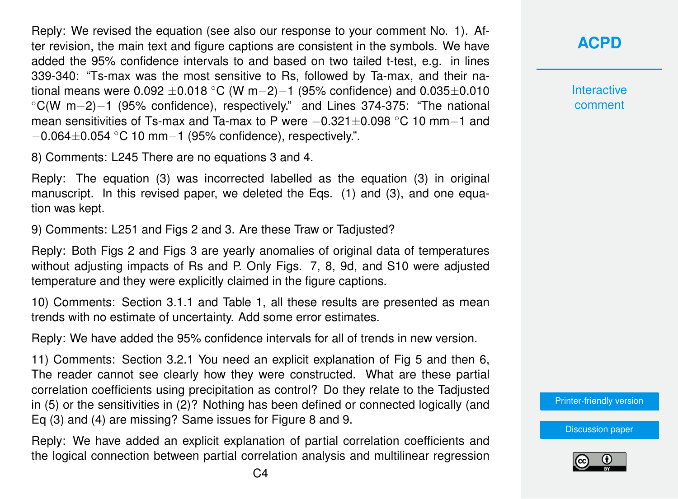Reply: We revised the equation (see also our response to your comment No. 1). After revision, the main text and figure captions are consistent in the symbols. We have added the 95% confidence intervals to and based on two tailed t-test, e.g. in lines 339-340: "Ts-max was the most sensitive to Rs, followed by Ta-max, and their national means were 0.092 ±0.018 °C (W m−2)−1 (95% confidence) and 0.035±0.010 ◦C(W m−2)−1 (95% confidence), respectively." and Lines 374-375: "The national mean sensitivities of Ts-max and Ta-max to P were −0.321±0.098 ◦C 10 mm−1 and −0.064±0.054 ◦C 10 mm−1 (95% confidence), respectively.".

8) Comments: L245 There are no equations 3 and 4.

Reply: The equation (3) was incorrected labelled as the equation (3) in original manuscript. In this revised paper, we deleted the Eqs. (1) and (3), and one equation was kept.

9) Comments: L251 and Figs 2 and 3. Are these Traw or Tadjusted?

Reply: Both Figs 2 and Figs 3 are yearly anomalies of original data of temperatures without adjusting impacts of Rs and P. Only Figs. 7, 8, 9d, and S10 were adjusted temperature and they were explicitly claimed in the figure captions.

10) Comments: Section 3.1.1 and Table 1, all these results are presented as mean trends with no estimate of uncertainty. Add some error estimates.

Reply: We have added the 95% confidence intervals for all of trends in new version.

11) Comments: Section 3.2.1 You need an explicit explanation of Fig 5 and then 6, The reader cannot see clearly how they were constructed. What are these partial correlation coefficients using precipitation as control? Do they relate to the Tadjusted in (5) or the sensitivities in (2)? Nothing has been defined or connected logically (and Eq (3) and (4) are missing? Same issues for Figure 8 and 9.

Reply: We have added an explicit explanation of partial correlation coefficients and the logical connection between partial correlation analysis and multilinear regression **[ACPD](http://www.atmos-chem-phys-discuss.net/)**

**Interactive** comment

[Printer-friendly version](http://www.atmos-chem-phys-discuss.net/acp-2016-1022/acp-2016-1022-AC1-print.pdf)

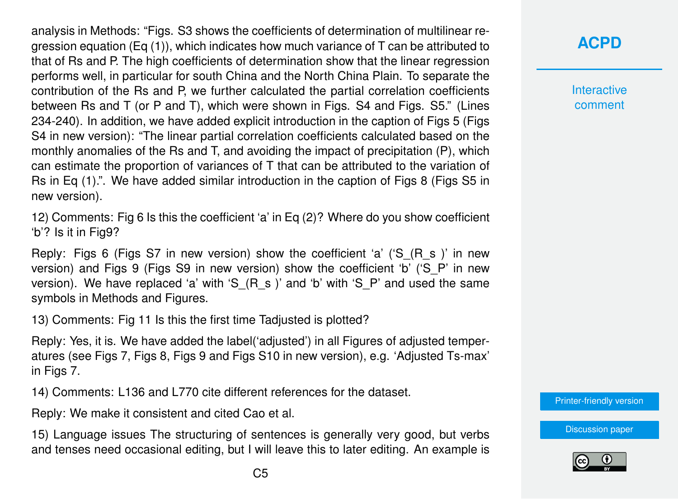analysis in Methods: "Figs. S3 shows the coefficients of determination of multilinear regression equation (Eq  $(1)$ ), which indicates how much variance of T can be attributed to that of Rs and P. The high coefficients of determination show that the linear regression performs well, in particular for south China and the North China Plain. To separate the contribution of the Rs and P, we further calculated the partial correlation coefficients between Rs and T (or P and T), which were shown in Figs. S4 and Figs. S5." (Lines 234-240). In addition, we have added explicit introduction in the caption of Figs 5 (Figs S4 in new version): "The linear partial correlation coefficients calculated based on the monthly anomalies of the Rs and T, and avoiding the impact of precipitation (P), which can estimate the proportion of variances of T that can be attributed to the variation of Rs in Eq (1).". We have added similar introduction in the caption of Figs 8 (Figs S5 in new version).

12) Comments: Fig 6 Is this the coefficient 'a' in Eq (2)? Where do you show coefficient 'b'? Is it in Fig9?

Reply: Figs 6 (Figs S7 in new version) show the coefficient 'a' ('S (R s )' in new version) and Figs 9 (Figs S9 in new version) show the coefficient 'b' ('S\_P' in new version). We have replaced 'a' with 'S  $(R\ s)$ ' and 'b' with 'S  $P'$  and used the same symbols in Methods and Figures.

13) Comments: Fig 11 Is this the first time Tadjusted is plotted?

Reply: Yes, it is. We have added the label('adjusted') in all Figures of adjusted temperatures (see Figs 7, Figs 8, Figs 9 and Figs S10 in new version), e.g. 'Adjusted Ts-max' in Figs 7.

14) Comments: L136 and L770 cite different references for the dataset.

Reply: We make it consistent and cited Cao et al.

15) Language issues The structuring of sentences is generally very good, but verbs and tenses need occasional editing, but I will leave this to later editing. An example is

## **[ACPD](http://www.atmos-chem-phys-discuss.net/)**

**Interactive** comment

[Printer-friendly version](http://www.atmos-chem-phys-discuss.net/acp-2016-1022/acp-2016-1022-AC1-print.pdf)